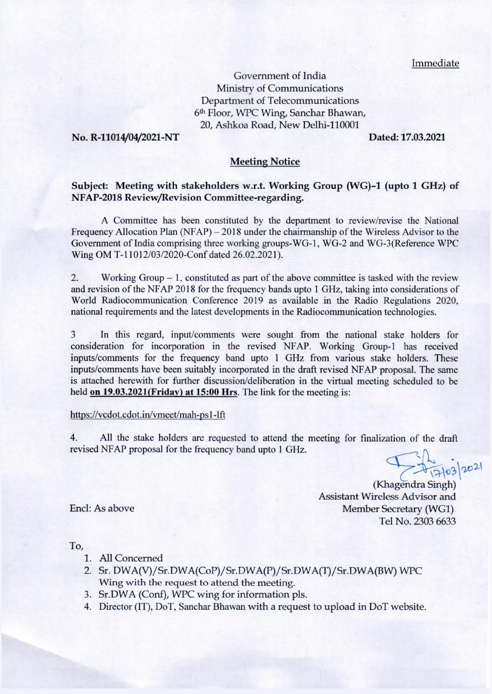Immediate

Government of India Ministry of Communications Department of Telecommunications 6th Floor, WPC Wing, Sanchar Bhawan, 20. Ashkoa Road, New Delhi-110001

### No. R-11014/04/2021-NT

Dated: 17.03.2021

## **Meeting Notice**

# Subject: Meeting with stakeholders w.r.t. Working Group (WG)-1 (upto 1 GHz) of NFAP-2018 Review/Revision Committee-regarding.

A Committee has been constituted by the department to review/revise the National Frequency Allocation Plan (NFAP) – 2018 under the chairmanship of the Wireless Advisor to the Government of India comprising three working groups-WG-1, WG-2 and WG-3(Reference WPC Wing OM T-11012/03/2020-Conf dated 26.02.2021).

 $\overline{2}$ . Working Group  $-1$ , constituted as part of the above committee is tasked with the review and revision of the NFAP 2018 for the frequency bands upto 1 GHz, taking into considerations of World Radiocommunication Conference 2019 as available in the Radio Regulations 2020, national requirements and the latest developments in the Radiocommunication technologies.

3 In this regard, input/comments were sought from the national stake holders for consideration for incorporation in the revised NFAP. Working Group-1 has received inputs/comments for the frequency band upto 1 GHz from various stake holders. These inputs/comments have been suitably incorporated in the draft revised NFAP proposal. The same is attached herewith for further discussion/deliberation in the virtual meeting scheduled to be held on 19.03.2021(Friday) at 15:00 Hrs. The link for the meeting is:

## https://vcdot.cdot.in/vmeet/mah-ps1-lft

All the stake holders are requested to attend the meeting for finalization of the draft  $4.$ revised NFAP proposal for the frequency band upto 1 GHz.

1-2103/2021

(Khagendra Singh) Assistant Wireless Advisor and Member Secretary (WG1) Tel No. 2303 6633

Encl: As above

To,

- 1. All Concerned
- 2. Sr. DWA(V)/Sr.DWA(CoP)/Sr.DWA(P)/Sr.DWA(T)/Sr.DWA(BW) WPC Wing with the request to attend the meeting.
- 3. Sr.DWA (Conf), WPC wing for information pls.
- 4. Director (IT), DoT, Sanchar Bhawan with a request to upload in DoT website.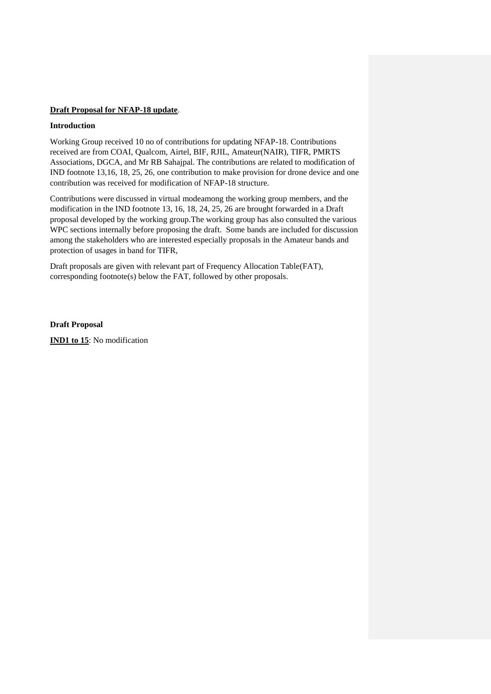### **Draft Proposal for NFAP-18 update**.

#### **Introduction**

Working Group received 10 no of contributions for updating NFAP-18. Contributions received are from COAI, Qualcom, Airtel, BIF, RJIL, Amateur(NAIR), TIFR, PMRTS Associations, DGCA, and Mr RB Sahajpal. The contributions are related to modification of IND footnote 13,16, 18, 25, 26, one contribution to make provision for drone device and one contribution was received for modification of NFAP-18 structure.

Contributions were discussed in virtual modeamong the working group members, and the modification in the IND footnote 13, 16, 18, 24, 25, 26 are brought forwarded in a Draft proposal developed by the working group.The working group has also consulted the various WPC sections internally before proposing the draft. Some bands are included for discussion among the stakeholders who are interested especially proposals in the Amateur bands and protection of usages in band for TIFR,

Draft proposals are given with relevant part of Frequency Allocation Table(FAT), corresponding footnote(s) below the FAT, followed by other proposals.

**Draft Proposal IND1 to 15**: No modification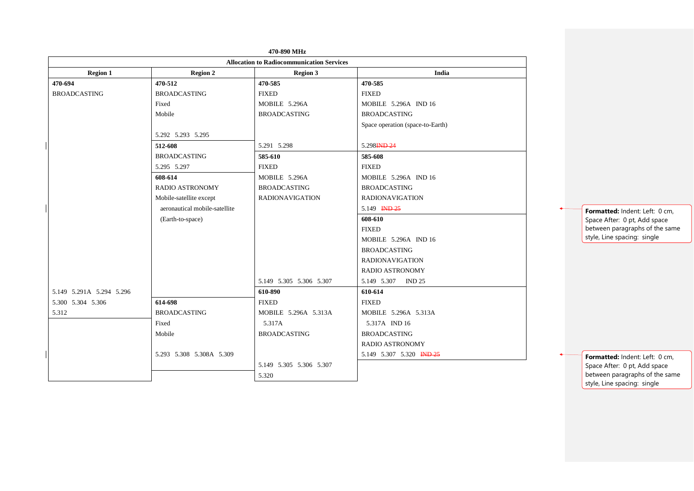|                                    |                               | 470-890 MHz                                      |                                  |  |  |
|------------------------------------|-------------------------------|--------------------------------------------------|----------------------------------|--|--|
|                                    |                               | <b>Allocation to Radiocommunication Services</b> |                                  |  |  |
| <b>Region 1</b><br><b>Region 2</b> |                               | <b>Region 3</b>                                  | India                            |  |  |
| 470-694                            | 470-512                       | 470-585                                          | 470-585                          |  |  |
| <b>BROADCASTING</b>                | <b>BROADCASTING</b>           | <b>FIXED</b>                                     | <b>FIXED</b>                     |  |  |
|                                    | Fixed                         | MOBILE 5.296A                                    | <b>MOBILE 5.296A IND 16</b>      |  |  |
|                                    | Mobile                        | <b>BROADCASTING</b><br><b>BROADCASTING</b>       |                                  |  |  |
|                                    |                               |                                                  | Space operation (space-to-Earth) |  |  |
|                                    | 5.292 5.293 5.295             |                                                  |                                  |  |  |
|                                    | 512-608                       | 5.291 5.298                                      | 5.298 <del>IND 24</del>          |  |  |
|                                    | <b>BROADCASTING</b>           | 585-610                                          | 585-608                          |  |  |
|                                    | 5.295 5.297                   | <b>FIXED</b>                                     | <b>FIXED</b>                     |  |  |
|                                    | 608-614                       | MOBILE 5.296A                                    | <b>MOBILE 5.296A IND 16</b>      |  |  |
|                                    | <b>RADIO ASTRONOMY</b>        | <b>BROADCASTING</b>                              | <b>BROADCASTING</b>              |  |  |
|                                    | Mobile-satellite except       | <b>RADIONAVIGATION</b>                           | <b>RADIONAVIGATION</b>           |  |  |
|                                    | aeronautical mobile-satellite |                                                  | 5.149 IND 25                     |  |  |
|                                    | (Earth-to-space)              |                                                  | 608-610                          |  |  |
|                                    |                               |                                                  | <b>FIXED</b>                     |  |  |
|                                    |                               |                                                  | <b>MOBILE 5.296A IND 16</b>      |  |  |
|                                    |                               |                                                  | <b>BROADCASTING</b>              |  |  |
|                                    |                               |                                                  | <b>RADIONAVIGATION</b>           |  |  |
|                                    |                               |                                                  | RADIO ASTRONOMY                  |  |  |
|                                    |                               | 5.149 5.305 5.306 5.307                          | 5.149 5.307<br><b>IND 25</b>     |  |  |
| 5.149 5.291A 5.294 5.296           |                               | 610-890                                          | 610-614                          |  |  |
| 5.300 5.304 5.306                  | 614-698                       | <b>FIXED</b>                                     | <b>FIXED</b>                     |  |  |
| 5.312                              | <b>BROADCASTING</b>           | MOBILE 5.296A 5.313A                             | MOBILE 5.296A 5.313A             |  |  |
|                                    | Fixed                         | 5.317A                                           | 5.317A IND 16                    |  |  |
|                                    | Mobile                        | <b>BROADCASTING</b>                              | <b>BROADCASTING</b>              |  |  |
|                                    |                               |                                                  | RADIO ASTRONOMY                  |  |  |
|                                    | 5.293 5.308 5.308A 5.309      |                                                  | 5.149 5.307 5.320 IND 25         |  |  |
|                                    |                               | 5.149 5.305 5.306 5.307                          |                                  |  |  |
|                                    |                               | 5.320                                            |                                  |  |  |

**Formatted:** Indent: Left: 0 cm, Space After: 0 pt, Add space between paragraphs of the same style, Line spacing: single

**Formatted:** Indent: Left: 0 cm, Space After: 0 pt, Add space between paragraphs of the same style, Line spacing: single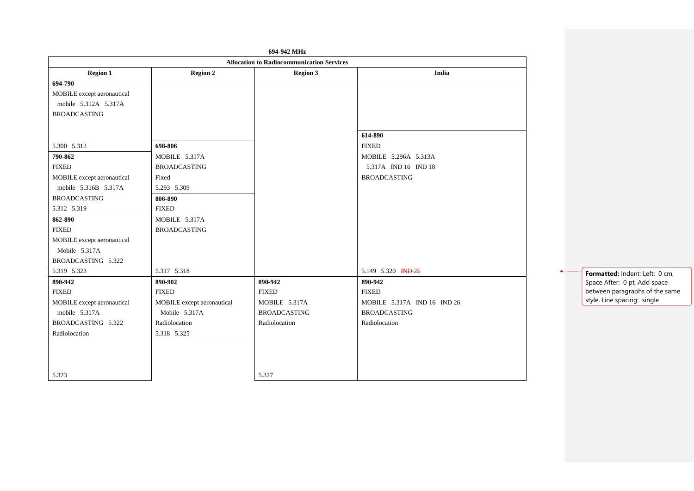|                            |                                             | 694-942 MHz                                      |                             |  |
|----------------------------|---------------------------------------------|--------------------------------------------------|-----------------------------|--|
|                            |                                             | <b>Allocation to Radiocommunication Services</b> |                             |  |
| <b>Region 1</b>            | <b>Region 3</b><br><b>Region 2</b><br>India |                                                  |                             |  |
| 694-790                    |                                             |                                                  |                             |  |
| MOBILE except aeronautical |                                             |                                                  |                             |  |
| mobile 5.312A 5.317A       |                                             |                                                  |                             |  |
| <b>BROADCASTING</b>        |                                             |                                                  |                             |  |
|                            |                                             |                                                  |                             |  |
|                            |                                             |                                                  | 614-890                     |  |
| 5.300 5.312                | 698-806                                     |                                                  | <b>FIXED</b>                |  |
| 790-862                    | MOBILE 5.317A                               |                                                  | MOBILE 5.296A 5.313A        |  |
| <b>FIXED</b>               | <b>BROADCASTING</b>                         |                                                  | 5.317A IND 16 IND 18        |  |
| MOBILE except aeronautical | Fixed                                       |                                                  | <b>BROADCASTING</b>         |  |
| mobile 5.316B 5.317A       | 5.293 5.309                                 |                                                  |                             |  |
| <b>BROADCASTING</b>        | 806-890                                     |                                                  |                             |  |
| 5.312 5.319                | <b>FIXED</b>                                |                                                  |                             |  |
| 862-890                    | MOBILE 5.317A                               |                                                  |                             |  |
| <b>FIXED</b>               | <b>BROADCASTING</b>                         |                                                  |                             |  |
| MOBILE except aeronautical |                                             |                                                  |                             |  |
| Mobile 5.317A              |                                             |                                                  |                             |  |
| BROADCASTING 5.322         |                                             |                                                  |                             |  |
| 5.319 5.323                | 5.317 5.318                                 |                                                  | 5.149 5.320 IND 25          |  |
| 890-942                    | 890-902                                     | 890-942                                          | 890-942                     |  |
| <b>FIXED</b>               | <b>FIXED</b>                                | <b>FIXED</b>                                     | <b>FIXED</b>                |  |
| MOBILE except aeronautical | MOBILE except aeronautical                  | MOBILE 5.317A                                    | MOBILE 5.317A IND 16 IND 26 |  |
| mobile 5.317A              | Mobile 5.317A                               | <b>BROADCASTING</b>                              | <b>BROADCASTING</b>         |  |
| BROADCASTING 5.322         | Radiolocation                               | Radiolocation                                    | Radiolocation               |  |
| Radiolocation              | 5.318 5.325                                 |                                                  |                             |  |
|                            |                                             |                                                  |                             |  |
|                            |                                             |                                                  |                             |  |
|                            |                                             |                                                  |                             |  |
| 5.323                      |                                             | 5.327                                            |                             |  |

**Formatted:** Indent: Left: 0 cm, Space After: 0 pt, Add space between paragraphs of the same style, Line spacing: single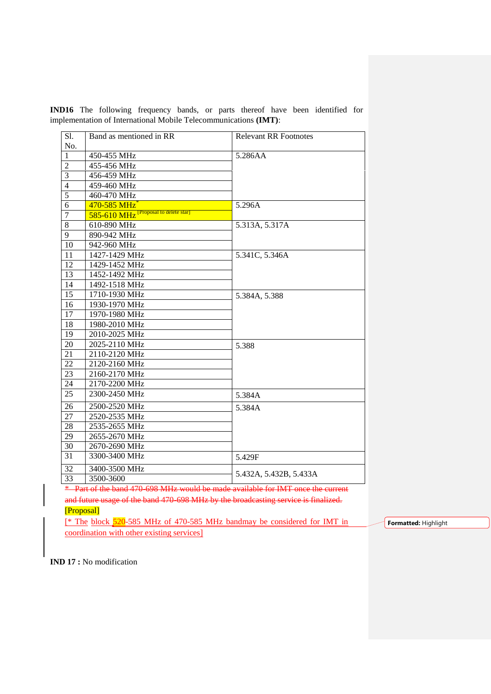| Sl.              | Band as mentioned in RR                            | <b>Relevant RR Footnotes</b> |  |  |
|------------------|----------------------------------------------------|------------------------------|--|--|
| No.              |                                                    |                              |  |  |
| $\mathbf{1}$     | 450-455 MHz                                        | 5.286AA                      |  |  |
| $\overline{2}$   | 455-456 MHz                                        |                              |  |  |
| $\mathfrak{Z}$   | 456-459 MHz                                        |                              |  |  |
| $\overline{4}$   | 459-460 MHz                                        |                              |  |  |
| 5                | 460-470 MHz                                        |                              |  |  |
| 6                | 470-585 MHz                                        | 5.296A                       |  |  |
| $\boldsymbol{7}$ | $585-610$ MHz <sup>[Proposal to delete star]</sup> |                              |  |  |
| $8\,$            | 610-890 MHz                                        | 5.313A, 5.317A               |  |  |
| 9                | 890-942 MHz                                        |                              |  |  |
| 10               | 942-960 MHz                                        |                              |  |  |
| 11               | 1427-1429 MHz                                      | 5.341C, 5.346A               |  |  |
| 12               | 1429-1452 MHz                                      |                              |  |  |
| 13               | 1452-1492 MHz                                      |                              |  |  |
| 14               | 1492-1518 MHz                                      |                              |  |  |
| 15               | 1710-1930 MHz                                      | 5.384A, 5.388                |  |  |
| 16               | 1930-1970 MHz                                      |                              |  |  |
| 17               | 1970-1980 MHz                                      |                              |  |  |
| 18               | 1980-2010 MHz                                      |                              |  |  |
| 19               | 2010-2025 MHz                                      |                              |  |  |
| $20\,$           | 2025-2110 MHz                                      | 5.388                        |  |  |
| 21               | 2110-2120 MHz                                      |                              |  |  |
| 22               | 2120-2160 MHz                                      |                              |  |  |
| 23               | 2160-2170 MHz                                      |                              |  |  |
| 24               | 2170-2200 MHz                                      |                              |  |  |
| 25               | 2300-2450 MHz                                      | 5.384A                       |  |  |
| 26               | 2500-2520 MHz<br>5.384A                            |                              |  |  |
| 27               | 2520-2535 MHz                                      |                              |  |  |
| 28               | 2535-2655 MHz                                      |                              |  |  |
| 29               | 2655-2670 MHz                                      |                              |  |  |
| 30               | 2670-2690 MHz                                      |                              |  |  |
| 31               | 3300-3400 MHz                                      | 5.429F                       |  |  |
| 32               | 3400-3500 MHz                                      |                              |  |  |
| 33               | 3500-3600                                          | 5.432A, 5.432B, 5.433A       |  |  |

**IND16** The following frequency bands, or parts thereof have been identified for implementation of International Mobile Telecommunications **(IMT)**:

\* Part of the band 470-698 MHz would be made available for IMT once the current and future usage of the band 470-698 MHz by the broadcasting service is finalized.

#### [Proposal]

[\* The block 520-585 MHz of 470-585 MHz bandmay be considered for IMT in coordination with other existing services]

**Formatted:** Highlight

**IND 17 :** No modification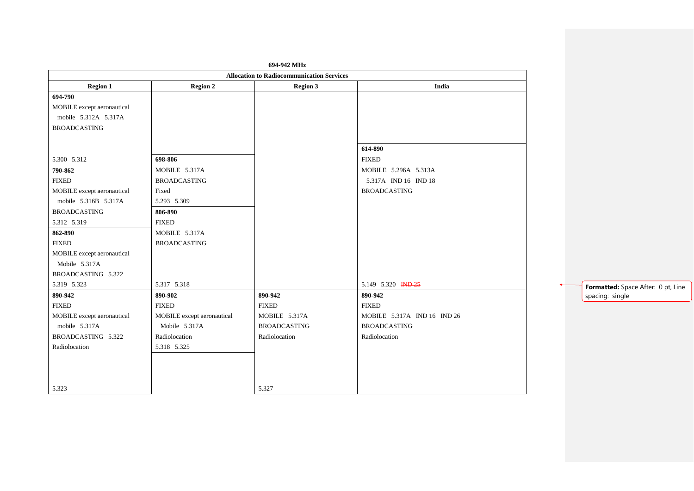|                            |                            | 694-942 MHz                                      |                               |                                    |
|----------------------------|----------------------------|--------------------------------------------------|-------------------------------|------------------------------------|
|                            |                            | <b>Allocation to Radiocommunication Services</b> |                               |                                    |
| <b>Region 1</b>            | <b>Region 2</b>            | <b>Region 3</b>                                  | India                         |                                    |
| 694-790                    |                            |                                                  |                               |                                    |
| MOBILE except aeronautical |                            |                                                  |                               |                                    |
| mobile 5.312A 5.317A       |                            |                                                  |                               |                                    |
| <b>BROADCASTING</b>        |                            |                                                  |                               |                                    |
|                            |                            |                                                  |                               |                                    |
|                            |                            |                                                  | 614-890                       |                                    |
| 5.300 5.312                | 698-806                    |                                                  | <b>FIXED</b>                  |                                    |
| 790-862                    | MOBILE 5.317A              |                                                  | MOBILE 5.296A 5.313A          |                                    |
| <b>FIXED</b>               | <b>BROADCASTING</b>        |                                                  | 5.317A IND 16 IND 18          |                                    |
| MOBILE except aeronautical | Fixed                      |                                                  | <b>BROADCASTING</b>           |                                    |
| mobile 5.316B 5.317A       | 5.293 5.309                |                                                  |                               |                                    |
| <b>BROADCASTING</b>        | 806-890                    |                                                  |                               |                                    |
| 5.312 5.319                | <b>FIXED</b>               |                                                  |                               |                                    |
| 862-890                    | MOBILE 5.317A              |                                                  |                               |                                    |
| <b>FIXED</b>               | <b>BROADCASTING</b>        |                                                  |                               |                                    |
| MOBILE except aeronautical |                            |                                                  |                               |                                    |
| Mobile 5.317A              |                            |                                                  |                               |                                    |
| BROADCASTING 5.322         |                            |                                                  |                               |                                    |
| 5.319 5.323                | 5.317 5.318                |                                                  | 5.149 5.320 <del>IND 25</del> | Formatted: Space After: 0 pt, Line |
| 890-942                    | 890-902                    | 890-942                                          | 890-942                       | spacing: single                    |
| <b>FIXED</b>               | <b>FIXED</b>               | <b>FIXED</b>                                     | <b>FIXED</b>                  |                                    |
| MOBILE except aeronautical | MOBILE except aeronautical | MOBILE 5.317A                                    | MOBILE 5.317A IND 16 IND 26   |                                    |
| mobile 5.317A              | Mobile 5.317A              | <b>BROADCASTING</b>                              | <b>BROADCASTING</b>           |                                    |
| BROADCASTING 5.322         | Radiolocation              | Radiolocation                                    | Radiolocation                 |                                    |
| Radiolocation              | 5.318 5.325                |                                                  |                               |                                    |
|                            |                            |                                                  |                               |                                    |
|                            |                            |                                                  |                               |                                    |
|                            |                            |                                                  |                               |                                    |
| 5.323                      |                            | 5.327                                            |                               |                                    |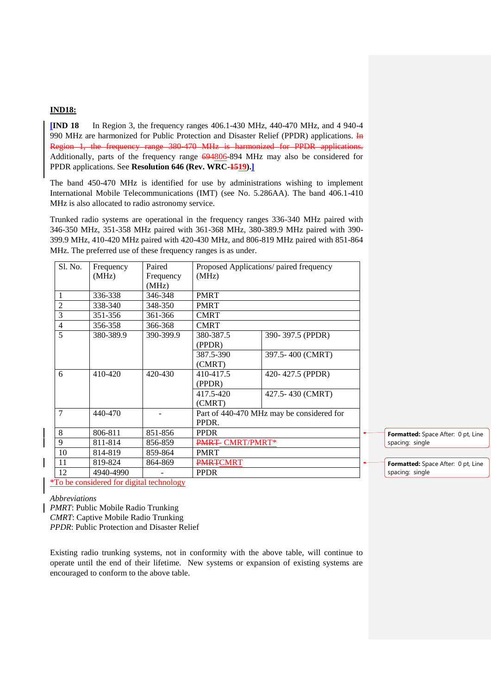## **IND18:**

**[IND 18** In Region 3, the frequency ranges 406.1-430 MHz, 440-470 MHz, and 4 940-4 990 MHz are harmonized for Public Protection and Disaster Relief (PPDR) applications.  $\overline{I}$ Region 1, the frequency range 380-470 MHz is harmonized for PPDR applications. Additionally, parts of the frequency range 694806-894 MHz may also be considered for PPDR applications. See **Resolution 646 (Rev. WRC-1519).]**

The band 450-470 MHz is identified for use by administrations wishing to implement International Mobile Telecommunications (IMT) (see No. 5.286AA). The band 406.1-410 MHz is also allocated to radio astronomy service.

Trunked radio systems are operational in the frequency ranges 336-340 MHz paired with 346-350 MHz, 351-358 MHz paired with 361-368 MHz, 380-389.9 MHz paired with 390- 399.9 MHz, 410-420 MHz paired with 420-430 MHz, and 806-819 MHz paired with 851-864 MHz. The preferred use of these frequency ranges is as under.

| Sl. No.        | Frequency | Paired    | Proposed Applications/ paired frequency   |                  |  |
|----------------|-----------|-----------|-------------------------------------------|------------------|--|
|                | (MHz)     | Frequency | (MHz)                                     |                  |  |
|                |           | (MHz)     |                                           |                  |  |
| 1              | 336-338   | 346-348   | <b>PMRT</b>                               |                  |  |
| $\overline{2}$ | 338-340   | 348-350   | <b>PMRT</b>                               |                  |  |
| $\overline{3}$ | 351-356   | 361-366   | <b>CMRT</b>                               |                  |  |
| 4              | 356-358   | 366-368   | <b>CMRT</b>                               |                  |  |
| 5              | 380-389.9 | 390-399.9 | 380-387.5                                 | 390-397.5 (PPDR) |  |
|                |           |           | (PPDR)                                    |                  |  |
|                |           |           | 387.5-390                                 | 397.5-400 (CMRT) |  |
|                |           |           | (CMRT)                                    |                  |  |
| 6              | 410-420   | 420-430   | 410-417.5                                 | 420-427.5 (PPDR) |  |
|                |           |           | (PPDR)                                    |                  |  |
|                |           |           | 417.5-420                                 | 427.5-430 (CMRT) |  |
|                |           |           | (CMRT)                                    |                  |  |
| $\tau$         | 440-470   |           | Part of 440-470 MHz may be considered for |                  |  |
|                |           |           | PPDR.                                     |                  |  |
| 8              | 806-811   | 851-856   | <b>PPDR</b>                               |                  |  |
| 9              | 811-814   | 856-859   | PMRT- CMRT/PMRT*                          |                  |  |
| 10             | 814-819   | 859-864   | <b>PMRT</b>                               |                  |  |
| 11             | 819-824   | 864-869   | <b>PMRTCMRT</b>                           |                  |  |
| 12             | 4940-4990 |           | <b>PPDR</b>                               |                  |  |

**Formatted:** Space After: 0 pt, Line spacing: single

\*To be considered for digital technology

*Abbreviations*

*PMRT*: Public Mobile Radio Trunking

*CMRT*: Captive Mobile Radio Trunking

*PPDR*: Public Protection and Disaster Relief

Existing radio trunking systems, not in conformity with the above table, will continue to operate until the end of their lifetime. New systems or expansion of existing systems are encouraged to conform to the above table.

**Formatted:** Space After: 0 pt, Line spacing: single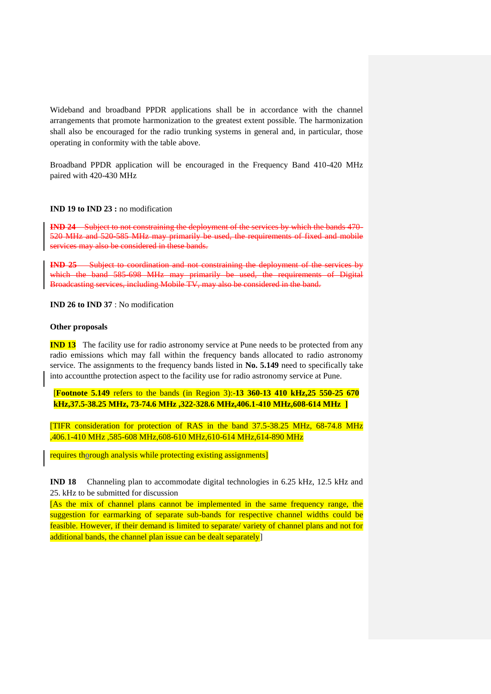Wideband and broadband PPDR applications shall be in accordance with the channel arrangements that promote harmonization to the greatest extent possible. The harmonization shall also be encouraged for the radio trunking systems in general and, in particular, those operating in conformity with the table above.

Broadband PPDR application will be encouraged in the Frequency Band 410-420 MHz paired with 420-430 MHz

### **IND 19 to IND 23 :** no modification

**IND 24** Subject to not constraining the deployment of the services by which the bands 470- 520 MHz and 520-585 MHz may primarily be used, the requirements of fixed and mobile services may also be considered in these bands.

**IND 25** Subject to coordination and not constraining the deployment of the which the band 585-698 MHz may primarily be used, the requirements of Digital Broadcasting services, including Mobile TV, may also be considered in the band.

**IND 26 to IND 37** : No modification

#### **Other proposals**

**IND 13** The facility use for radio astronomy service at Pune needs to be protected from any radio emissions which may fall within the frequency bands allocated to radio astronomy service. The assignments to the frequency bands listed in **No. 5.149** need to specifically take into accountthe protection aspect to the facility use for radio astronomy service at Pune.

[**Footnote 5.149** refers to the bands (in Region 3):-**13 360-13 410 kHz,25 550-25 670 kHz,37.5-38.25 MHz, 73-74.6 MHz ,322-328.6 MHz,406.1-410 MHz,608-614 MHz ]**

[TIFR consideration for protection of RAS in the band 37.5-38.25 MHz, 68-74.8 MHz ,406.1-410 MHz ,585-608 MHz,608-610 MHz,610-614 MHz,614-890 MHz

requires thorough analysis while protecting existing assignments]

**IND 18** Channeling plan to accommodate digital technologies in 6.25 kHz, 12.5 kHz and 25. kHz to be submitted for discussion

[As the mix of channel plans cannot be implemented in the same frequency range, the suggestion for earmarking of separate sub-bands for respective channel widths could be feasible. However, if their demand is limited to separate/ variety of channel plans and not for additional bands, the channel plan issue can be dealt separately